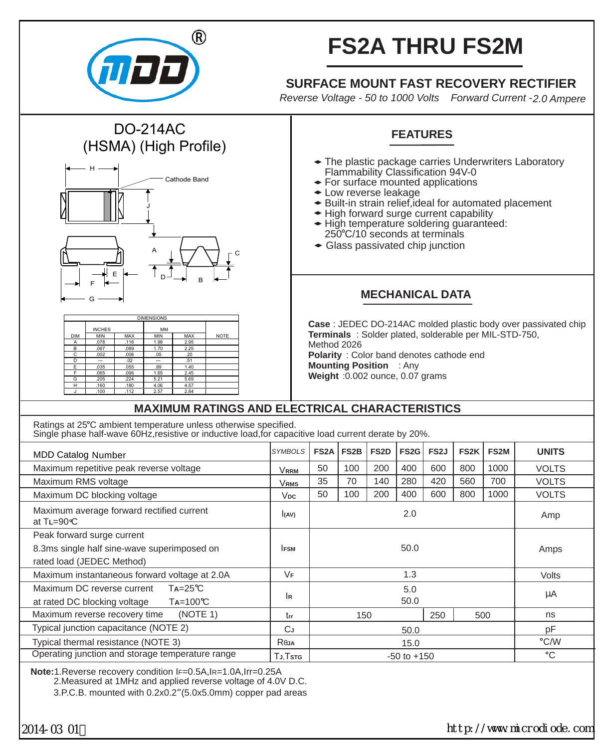

DO-214AC (HSMA) (High Profile)

J

A

DIMENSIONS

INCHES MM DIM MIN MAX MIN MAX NOTE A .078 116 1.98 2.95 B .067 .089 1.70 2.25 C .002 .008 .05 .20 D --- 02 --- .51 E .035 .055 .89 1.40 F .065 .096 1.65 2.45 G .205 .224 5.21 5.69 H .160 .180 4.06 4.57 J .100 .112 2.57 2.84

 $D \rightarrow B$ 

Cathode Band

H

F G E

# **FS2A THRU FS2M**

## **SURFACE MOUNT FAST RECOVERY RECTIFIER**

*Reverse Voltage - 50 to 1000 Volts Forward Current -2.0 Ampere*

## **FEATURES**

- The plastic package carries Underwriters Laboratory Flammability Classification 94V-0
- For surface mounted applications
- Low reverse leakage
- Built-in strain relief,ideal for automated placement
- High forward surge current capability
- High temperature soldering guaranteed: 250 C/10 seconds at terminals
- Glass passivated chip junction

### **MECHANICAL DATA**

**Case** : JEDEC DO-214AC molded plastic body over passivated chip **Terminals** : Solder plated, solderable per MIL-STD-750, Method 2026 **Polarity** : Color band denotes cathode end **Mounting Position** : Any **Weight** :0.002 ounce, 0.07 grams

#### **MAXIMUM RATINGS AND ELECTRICAL CHARACTERISTICS**

Ratings at 25°C ambient temperature unless otherwise specified. Single phase half-wave 60Hz, resistive or inductive load, for capacitive load current derate by 20%.

C

| <b>MDD Catalog Number</b>                                         | <b>SYMBOLS</b> | FS <sub>2</sub> A | FS2B | FS <sub>2</sub> D | FS <sub>2</sub> G | FS <sub>2</sub> J | FS <sub>2</sub> K | <b>FS2M</b> | <b>UNITS</b> |
|-------------------------------------------------------------------|----------------|-------------------|------|-------------------|-------------------|-------------------|-------------------|-------------|--------------|
| Maximum repetitive peak reverse voltage                           | <b>VRRM</b>    | 50                | 100  | 200               | 400               | 600               | 800               | 1000        | <b>VOLTS</b> |
| Maximum RMS voltage                                               | <b>VRMS</b>    | 35                | 70   | 140               | 280               | 420               | 560               | 700         | <b>VOLTS</b> |
| Maximum DC blocking voltage                                       | $V_{DC}$       | 50                | 100  | 200               | 400               | 600               | 800               | 1000        | <b>VOLTS</b> |
| Maximum average forward rectified current<br>at $T = 90^{\circ}C$ | I(AV)          | 2.0               |      |                   |                   |                   |                   |             | Amp          |
| Peak forward surge current                                        |                |                   |      |                   |                   |                   |                   |             |              |
| 8.3ms single half sine-wave superimposed on                       | <b>IFSM</b>    | 50.0              |      |                   |                   |                   |                   | Amps        |              |
| rated load (JEDEC Method)                                         |                |                   |      |                   |                   |                   |                   |             |              |
| Maximum instantaneous forward voltage at 2.0A                     | VF             | 1.3               |      |                   |                   |                   |                   |             | Volts        |
| $Ta = 25^{\circ}C$<br>Maximum DC reverse current                  |                | 5.0               |      |                   |                   |                   |                   |             | μA           |
| $Ta=100^{\circ}C$<br>at rated DC blocking voltage                 | lв             | 50.0              |      |                   |                   |                   |                   |             |              |
| Maximum reverse recovery time<br>(NOTE 1)                         | trr            |                   | 150  |                   |                   | 250               |                   | 500         | ns           |
| Typical junction capacitance (NOTE 2)                             | CJ             | 50.0              |      |                   |                   |                   |                   |             | pF           |
| Typical thermal resistance (NOTE 3)                               | Reja           | 15.0              |      |                   |                   |                   |                   | °C/W        |              |
| Operating junction and storage temperature range                  | TJ.Tstg        | $-50$ to $+150$   |      |                   |                   |                   |                   |             | °C           |
|                                                                   |                |                   |      |                   |                   |                   |                   |             |              |

**Note:**1.Reverse recovery condition IF=0.5A,IR=1.0A,Irr=0.25A

2.Measured at 1MHz and applied reverse voltage of 4.0V D.C.

3.P.C.B. mounted with 0.2x0.2"(5.0x5.0mm) copper pad areas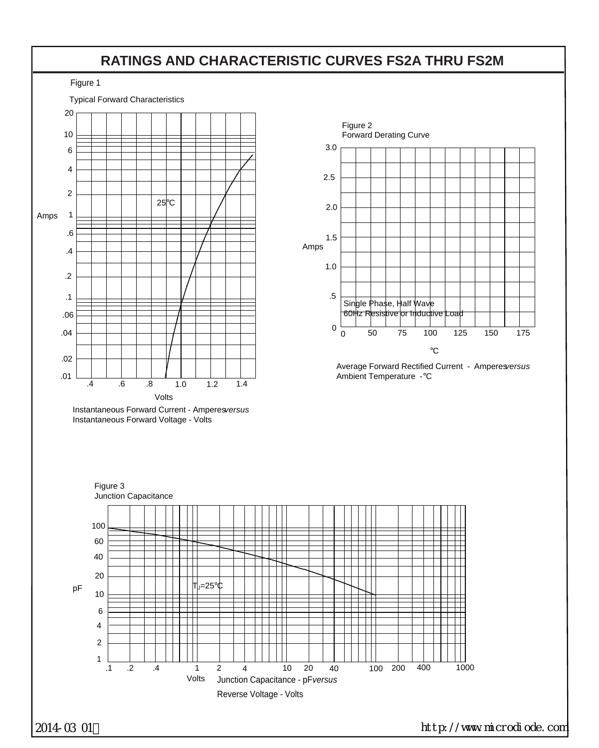## **RATINGS AND CHARACTERISTIC CURVES FS2A THRU FS2M**

Figure 1



400 1000

 $^{\circ}{\rm C}$ 

150